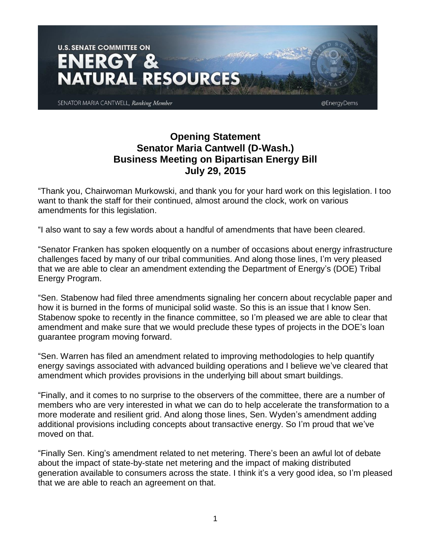

## **Opening Statement Senator Maria Cantwell (D-Wash.) Business Meeting on Bipartisan Energy Bill July 29, 2015**

"Thank you, Chairwoman Murkowski, and thank you for your hard work on this legislation. I too want to thank the staff for their continued, almost around the clock, work on various amendments for this legislation.

"I also want to say a few words about a handful of amendments that have been cleared.

"Senator Franken has spoken eloquently on a number of occasions about energy infrastructure challenges faced by many of our tribal communities. And along those lines, I'm very pleased that we are able to clear an amendment extending the Department of Energy's (DOE) Tribal Energy Program.

"Sen. Stabenow had filed three amendments signaling her concern about recyclable paper and how it is burned in the forms of municipal solid waste. So this is an issue that I know Sen. Stabenow spoke to recently in the finance committee, so I'm pleased we are able to clear that amendment and make sure that we would preclude these types of projects in the DOE's loan guarantee program moving forward.

"Sen. Warren has filed an amendment related to improving methodologies to help quantify energy savings associated with advanced building operations and I believe we've cleared that amendment which provides provisions in the underlying bill about smart buildings.

"Finally, and it comes to no surprise to the observers of the committee, there are a number of members who are very interested in what we can do to help accelerate the transformation to a more moderate and resilient grid. And along those lines, Sen. Wyden's amendment adding additional provisions including concepts about transactive energy. So I'm proud that we've moved on that.

"Finally Sen. King's amendment related to net metering. There's been an awful lot of debate about the impact of state-by-state net metering and the impact of making distributed generation available to consumers across the state. I think it's a very good idea, so I'm pleased that we are able to reach an agreement on that.